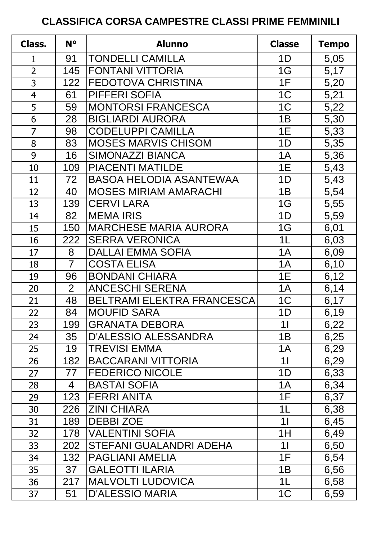## **CLASSIFICA CORSA CAMPESTRE CLASSI PRIME FEMMINILI**

| Class.         | $N^{\circ}$    | <b>Alunno</b>                     | <b>Classe</b>  | <b>Tempo</b> |
|----------------|----------------|-----------------------------------|----------------|--------------|
| $\mathbf{1}$   | 91             | <b>TONDELLI CAMILLA</b>           | 1D             | 5,05         |
| $\overline{2}$ | 145            | <b>FONTANI VITTORIA</b>           | 1G             | 5,17         |
| 3              | 122            | <b>FEDOTOVA CHRISTINA</b>         | 1F             | 5,20         |
| $\overline{4}$ | 61             | PIFFERI SOFIA                     | 1 <sup>C</sup> | 5,21         |
| 5              | 59             | <b>MONTORSI FRANCESCA</b>         | 1 <sup>C</sup> | 5,22         |
| 6              | 28             | <b>BIGLIARDI AURORA</b>           | 1B             | 5,30         |
| $\overline{7}$ | 98             | <b>CODELUPPI CAMILLA</b>          | 1E             | 5,33         |
| 8              | 83             | <b>MOSES MARVIS CHISOM</b>        | 1D             | 5,35         |
| 9              | 16             | <b>SIMONAZZI BIANCA</b>           | 1A             | 5,36         |
| 10             | 109            | <b>PIACENTI MATILDE</b>           | 1E             | 5,43         |
| 11             | 72             | <b>BASOA HELODIA ASANTEWAA</b>    | 1D             | 5,43         |
| 12             | 40             | <b>MOSES MIRIAM AMARACHI</b>      | 1B             | 5,54         |
| 13             | 139            | <b>CERVILARA</b>                  | 1G             | 5,55         |
| 14             | 82             | <b>MEMA IRIS</b>                  | 1D             | 5,59         |
| 15             | 150            | <b>MARCHESE MARIA AURORA</b>      | 1G             | 6,01         |
| 16             | 222            | <b>SERRA VERONICA</b>             | 1 <sub>L</sub> | 6,03         |
| 17             | 8              | <b>DALLAI EMMA SOFIA</b>          | 1A             | 6,09         |
| 18             | $\overline{7}$ | <b>COSTA ELISA</b>                | 1A             | 6,10         |
| 19             | 96             | <b>BONDANI CHIARA</b>             | 1E             | 6,12         |
| 20             | $\overline{2}$ | <b>ANCESCHI SERENA</b>            | 1A             | 6,14         |
| 21             | 48             | <b>BELTRAMI ELEKTRA FRANCESCA</b> | 1 <sup>C</sup> | 6,17         |
| 22             | 84             | <b>MOUFID SARA</b>                | 1D             | 6,19         |
| 23             | 199            | <b>GRANATA DEBORA</b>             | 11             | 6,22         |
| 24             | 35             | <b>D'ALESSIO ALESSANDRA</b>       | 1B             | 6,25         |
| 25             | 19             | <b>TREVISI EMMA</b>               | 1A             | 6,29         |
| 26             | 182            | <b>BACCARANI VITTORIA</b>         | 11             | 6,29         |
| 27             | 77             | <b>FEDERICO NICOLE</b>            | 1D             | 6,33         |
| 28             | 4              | <b>BASTAI SOFIA</b>               | 1A             | 6,34         |
| 29             | 123            | <b>FERRI ANITA</b>                | 1F             | 6,37         |
| 30             | 226            | <b>ZINI CHIARA</b>                | 1L             | 6,38         |
| 31             | 189            | <b>DEBBIZOE</b>                   | 11             | 6,45         |
| 32             | 178            | <b>VALENTINI SOFIA</b>            | 1H             | 6,49         |
| 33             | 202            | STEFANI GUALANDRI ADEHA           | 11             | 6,50         |
| 34             | 132            | <b>PAGLIANI AMELIA</b>            | 1F             | 6,54         |
| 35             | 37             | <b>GALEOTTI ILARIA</b>            | 1B             | 6,56         |
| 36             | 217            | <b>MALVOLTI LUDOVICA</b>          | 1L             | 6,58         |
| 37             | 51             | <b>D'ALESSIO MARIA</b>            | 1 <sup>C</sup> | 6,59         |